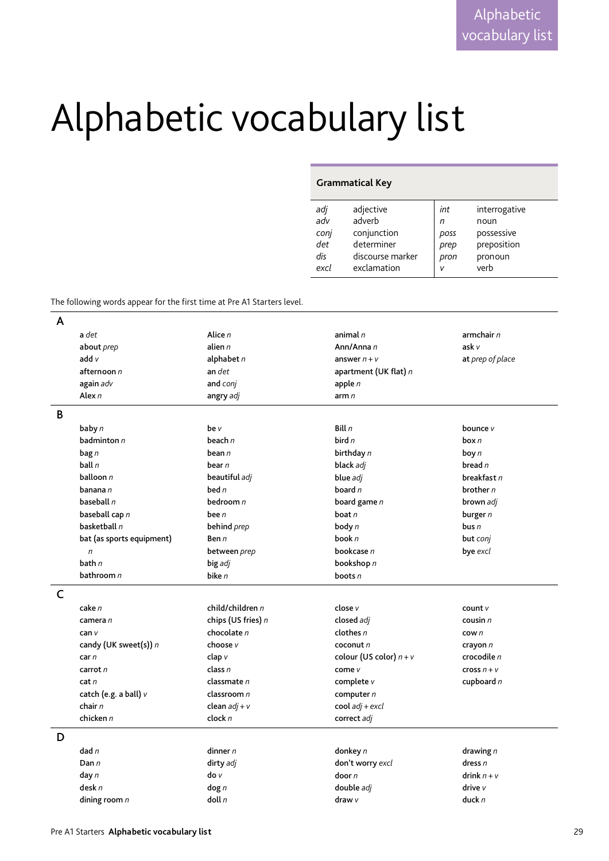## Alphabetic vocabulary list

## **Grammatical Key**

| adj  | adjective        | int  | interrogative |
|------|------------------|------|---------------|
| adv  | adverb           | n    | noun          |
| conj | conjunction      | poss | possessive    |
| det  | determiner       | prep | preposition   |
| dis  | discourse marker | pron | pronoun       |
| excl | exclamation      | ν    | verb          |
|      |                  |      |               |

The following words appear for the first time at Pre A1 Starters level.

| A |                           |                      |                           |                  |
|---|---------------------------|----------------------|---------------------------|------------------|
|   | a det                     | Alice $n$            | animal $n$                | armchair $n$     |
|   | about <i>prep</i>         | alien $n$            | Ann/Anna n                | ask v            |
|   | add v                     | alphabet $n$         | answer $n + v$            | at prep of place |
|   | afternoon n               | an det               | apartment (UK flat) n     |                  |
|   | again adv                 | and conj             | apple $n$                 |                  |
|   | Alex $n$                  | angry adj            | arm $n$                   |                  |
| B |                           |                      |                           |                  |
|   | baby n                    | be v                 | Bill $n$                  | bounce v         |
|   | badminton $n$             | beach $n$            | bird $n$                  | box n            |
|   | $\mathbf{bag}\,n$         | bean $n$             | birthday n                | boy $n$          |
|   | ball n                    | bear n               | black adj                 | bread n          |
|   | balloon n                 | beautiful adj        | blue adj                  | breakfast n      |
|   | banana n                  | bed $n$              | board $n$                 | brother $n$      |
|   | baseball n                | bedroom $n$          | board game $n$            | brown adj        |
|   | baseball cap n            | bee $n$              | boat $n$                  | burger $n$       |
|   | basketball n              | behind prep          | body $n$                  | bus $n$          |
|   | bat (as sports equipment) | Ben n                | book $n$                  | but conj         |
|   | $\sqrt{n}$                | between prep         | bookcase n                | bye excl         |
|   | bath $n$                  | big adj              | bookshop n                |                  |
|   | bathroom $n$              | bike $n$             | boots $n$                 |                  |
| C |                           |                      |                           |                  |
|   | cake n                    | child/children n     | close v                   | count $V$        |
|   | camera n                  | chips (US fries) $n$ | closed adj                | cousin $n$       |
|   | can v                     | chocolate $n$        | clothes $n$               | $c$ ow $n$       |
|   | candy (UK sweet(s)) n     | choose v             | cocont n                  | crayon $n$       |
|   | car n                     | clap v               | colour (US color) $n + v$ | crocodile n      |
|   | carrot $n$                | class $n$            | come v                    | cross $n + v$    |
|   | cat n                     | classmate n          | complete $v$              | cupboard $n$     |
|   | catch (e.g. a ball) v     | classroom $n$        | computer $n$              |                  |
|   | chair $n$                 | clean $adj + v$      | $\text{cool }$ adj + excl |                  |
|   | chicken $n$               | clock n              | correct adj               |                  |
| D |                           |                      |                           |                  |
|   | $d$ ad n                  | dinner $n$           | donkey n                  | drawing $n$      |
|   | Dan n                     | dirty adj            | don't worry excl          | dress $n$        |
|   | day $n$                   | $\frac{d}{d}$        | door n                    | drink $n + v$    |
|   | desk n                    | $\log n$             | double adj                | drive v          |
|   | dining room $n$           | doll n               | draw $\nu$                | duck $n$         |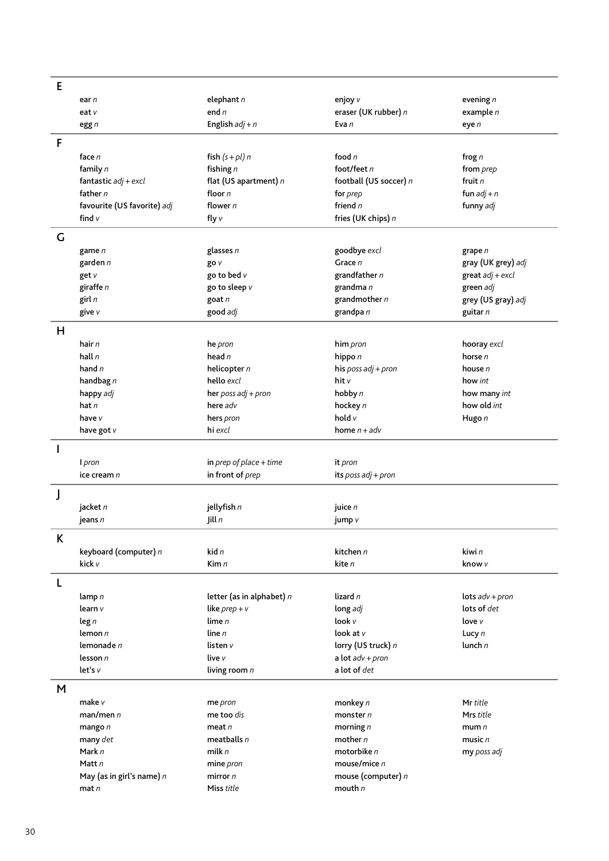| E            |                             |                             |                        |                             |
|--------------|-----------------------------|-----------------------------|------------------------|-----------------------------|
|              | ear n                       | elephant $n$                | enjoy v                | evening $n$                 |
|              | eat v                       | end $n$                     | eraser (UK rubber) n   | example $n$                 |
|              | egg $n$                     | English $adj + n$           | Eva n                  | eye n                       |
| F            |                             |                             |                        |                             |
|              | face n                      | fish $(s + pl) n$           | food $n$               | frog $n$                    |
|              | family $n$                  | fishing $n$                 | foot/feet $n$          | from prep                   |
|              | fantastic $adj + excl$      | flat (US apartment) n       | football (US soccer) n | fruit n                     |
|              | father $n$                  | floor n                     | for <i>prep</i>        | fun $adj + n$               |
|              | favourite (US favorite) adj | flower $n$                  | friend $n$             | funny adj                   |
|              | find v                      | fly $v$                     | fries (UK chips) n     |                             |
|              |                             |                             |                        |                             |
| G            |                             |                             |                        |                             |
|              | game n                      | glasses $n$                 | goodbye excl           | grape n                     |
|              | garden $n$                  | go v                        | Grace n                | gray (UK grey) adj          |
|              | get v                       | go to bed v                 | grandfather n          | $\textsf{great}$ adj + excl |
|              | giraffe n                   | go to sleep v               | grandma n              | green adj                   |
|              | girl $n$                    | goat n                      | grandmother $n$        | grey (US gray) adj          |
|              | give v                      | good adj                    | grandpa n              | guitar n                    |
| H            |                             |                             |                        |                             |
|              | hair $n$                    | he pron                     | him pron               | hooray excl                 |
|              | hall $n$                    | head $n$                    | hippo n                | horse n                     |
|              | hand $n$                    | helicopter $n$              | his poss adj + pron    | house n                     |
|              | handbag $n$                 | hello excl                  | hit v                  | how int                     |
|              | happy adj                   | her poss $adj + pron$       | hobby n                | how many int                |
|              | hat $n$                     | here adv                    | hockey n               | how old int                 |
|              | have v                      | hers pron                   | hold v                 | Hugo n                      |
|              | have got v                  | hi excl                     | home $n + adv$         |                             |
| $\mathbf{I}$ |                             |                             |                        |                             |
|              | I pron                      | in prep of place $+$ time   | it pron                |                             |
|              | ice cream n                 | in front of prep            | its poss $adj + pron$  |                             |
|              |                             |                             |                        |                             |
| J            |                             |                             |                        |                             |
|              | jacket n                    | jellyfish n                 | juice $n$              |                             |
|              | jeans n                     | Jill $n$                    | jump v                 |                             |
| K            |                             |                             |                        |                             |
|              | keyboard (computer) n       | kid $n$                     | kitchen n              | kiwi n                      |
|              | kick v                      | Kim $n$                     | kite n                 | know v                      |
|              |                             |                             |                        |                             |
| L            |                             |                             |                        |                             |
|              | lamp $n$                    | letter (as in alphabet) $n$ | lizard n               | lots $adv + pron$           |
|              | learn v                     | like $prep + v$             | long adj               | lots of det                 |
|              | $\log n$                    | lime $n$                    | look v                 | love $v$                    |
|              | lemon $n$                   | line $n$                    | look at $v$            | Lucy $n$                    |
|              | lemonade n                  | listen v                    | lorry (US truck) n     | lunch $n$                   |
|              | lesson $n$<br>let's v       | live v                      | a lot $adv + pron$     |                             |
|              |                             | living room n               | a lot of det           |                             |
| M            |                             |                             |                        |                             |
|              | make v                      | me pron                     | monkey n               | Mr title                    |
|              | man/men n                   | me too dis                  | monster $n$            | Mrs title                   |
|              | mango $n$                   | meat $n$                    | morning $n$            | mum $n$                     |
|              | many det                    | meatballs $n$               | mother $n$             | music $n$                   |
|              | Mark n                      | milk $n$                    | motorbike $n$          | my poss adj                 |
|              | Matt n                      | mine pron                   | mouse/mice $n$         |                             |
|              | May (as in girl's name) $n$ | mirror $n$                  | mouse (computer) n     |                             |
|              | $\mathsf{mat} \, n$         | Miss title                  | mouth $n$              |                             |
|              |                             |                             |                        |                             |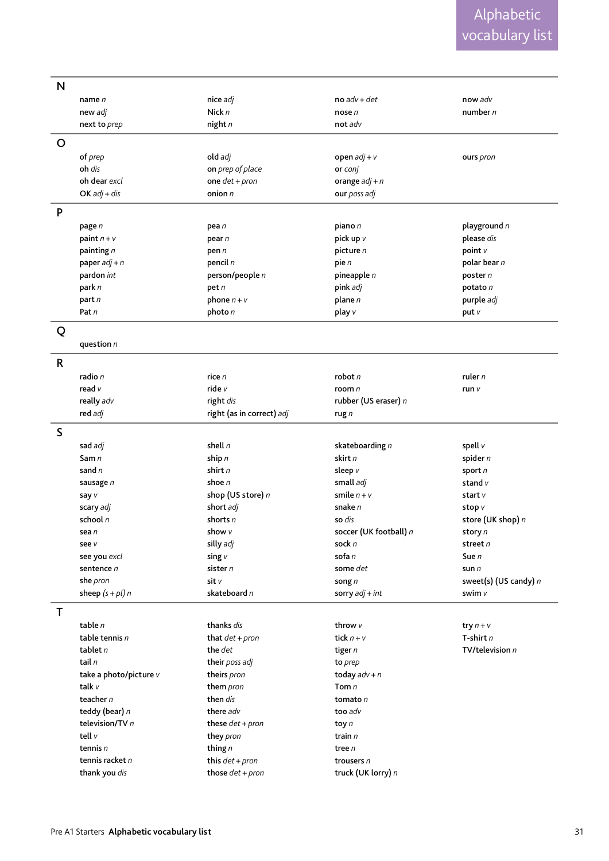| $\mathsf{N}$ |                        |                           |                            |                             |
|--------------|------------------------|---------------------------|----------------------------|-----------------------------|
|              | name $n$               | nice adj                  | $no$ adv + det             | now adv                     |
|              | new adj                | Nick $n$                  | nose $n$                   | number n                    |
|              | next to prep           | night $n$                 | not adv                    |                             |
| $\mathsf{O}$ |                        |                           |                            |                             |
|              |                        |                           |                            |                             |
|              | of prep                | old adj                   | open $adj + v$             | ours pron                   |
|              | oh dis                 | on prep of place          | or conj                    |                             |
|              | oh dear excl           | one $det + pron$          | orange $adj + n$           |                             |
|              | $OK adj + dis$         | onion $n$                 | our poss adj               |                             |
| P            |                        |                           |                            |                             |
|              | page n                 | pea n                     | piano n                    | playground n                |
|              | paint $n + v$          | pear n                    | pick up v                  | please dis                  |
|              | painting n             | pen n                     | picture n                  | point v                     |
|              | paper $adj + n$        | pencil n                  | pie n                      | polar bear n                |
|              | pardon int             | person/people n           | pineapple n                | poster $n$                  |
|              | park n                 | petn                      | pink adj                   | potato n                    |
|              | part n                 | phone $n + v$             | plane $n$                  | purple adj                  |
|              | Pat n                  | photo n                   | play v                     | put v                       |
|              |                        |                           |                            |                             |
| Q            |                        |                           |                            |                             |
|              | question $n$           |                           |                            |                             |
| $\mathsf{R}$ |                        |                           |                            |                             |
|              | radio n                | rice n                    | robot n                    | ruler $n$                   |
|              | read v                 | ride v                    | room $n$                   | run v                       |
|              | really adv             | right dis                 | rubber (US eraser) n       |                             |
|              | red adj                | right (as in correct) adj | rug $n$                    |                             |
| S            |                        |                           |                            |                             |
|              |                        | shell $n$                 |                            |                             |
|              | sad adj<br>Sam n       | ship $n$                  | skateboarding n<br>skirt n | spell v                     |
|              | sand $n$               | shirt $n$                 |                            | spider n                    |
|              |                        | shoe $n$                  | sleep v<br>small adj       | sport $n$<br>stand $v$      |
|              | sausage n              | shop (US store) n         | smile $n + v$              | start v                     |
|              | say v<br>scary adj     | short adj                 | snake n                    |                             |
|              | school $n$             | shorts $n$                | so dis                     | stop v<br>store (UK shop) n |
|              | sea n                  | show v                    | soccer (UK football) n     |                             |
|              | see v                  | silly adj                 | sock n                     | story n<br>street n         |
|              | see you excl           | sing $v$                  | sofa n                     | Sue n                       |
|              | sentence n             | sister $n$                | some det                   | sun $n$                     |
|              | she pron               | sit v                     | song $n$                   | sweet(s) (US candy) n       |
|              | sheep $(s + pl)$ n     | skateboard n              | sorry $adj + int$          | swim v                      |
|              |                        |                           |                            |                             |
| Τ            |                        |                           |                            |                             |
|              | table $n$              | thanks dis                | throw $v$                  | try $n + v$                 |
|              | table tennis $n$       | that $det + pron$         | tick $n + v$               | T-shirt $n$                 |
|              | tablet $n$             | the det                   | tiger $n$                  | TV/television $n$           |
|              | tail $n$               | their poss adj            | to prep                    |                             |
|              | take a photo/picture v | theirs pron               | today $adv + n$            |                             |
|              | talk v                 | them pron                 | Tom $n$                    |                             |
|              | teacher $n$            | then dis                  | tomato $n$                 |                             |
|              | teddy (bear) n         | there adv                 | too adv                    |                             |
|              | television/TV $n$      | these $det + pron$        | toy $n$                    |                             |
|              | tell $v$               | they pron                 | train n                    |                             |
|              | tennis $n$             | thing $n$                 | tree n                     |                             |
|              | tennis racket $n$      | this $det + pron$         | trousers n                 |                             |
|              | thank you dis          | those $det + pron$        | truck (UK lorry) n         |                             |